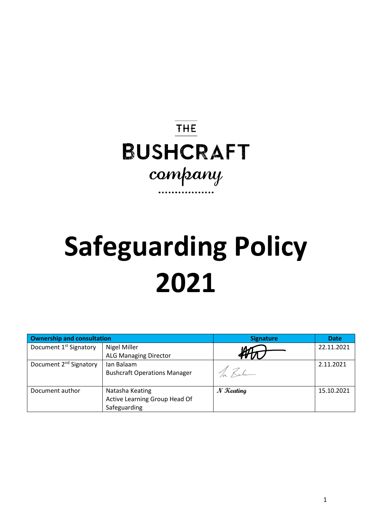## **THE BUSHCRAFT** company

# **Safeguarding Policy 2021**

| <b>Ownership and consultation</b>  |                                     | <b>Signature</b> | <b>Date</b> |
|------------------------------------|-------------------------------------|------------------|-------------|
| Document 1 <sup>st</sup> Signatory | <b>Nigel Miller</b>                 |                  | 22.11.2021  |
|                                    | <b>ALG Managing Director</b>        |                  |             |
| Document 2 <sup>nd</sup> Signatory | Ian Balaam                          |                  | 2.11.2021   |
|                                    | <b>Bushcraft Operations Manager</b> | la Rale          |             |
|                                    |                                     |                  |             |
| Document author                    | Natasha Keating                     | $N$ Keating      | 15.10.2021  |
|                                    | Active Learning Group Head Of       |                  |             |
|                                    | Safeguarding                        |                  |             |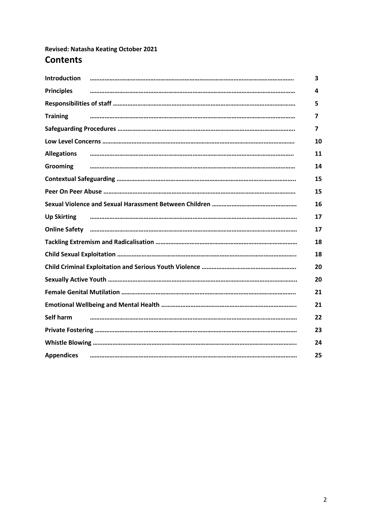### **Revised: Natasha Keating October 2021 Contents**

| <b>Introduction</b> | 3  |
|---------------------|----|
| <b>Principles</b>   | 4  |
|                     | 5  |
| <b>Training</b>     | 7  |
|                     | 7  |
|                     | 10 |
| <b>Allegations</b>  | 11 |
| Grooming            | 14 |
|                     | 15 |
|                     | 15 |
|                     | 16 |
| <b>Up Skirting</b>  | 17 |
|                     | 17 |
|                     | 18 |
|                     | 18 |
|                     | 20 |
|                     | 20 |
|                     | 21 |
|                     | 21 |
| Self harm           | 22 |
|                     | 23 |
|                     | 24 |
| <b>Appendices</b>   | 25 |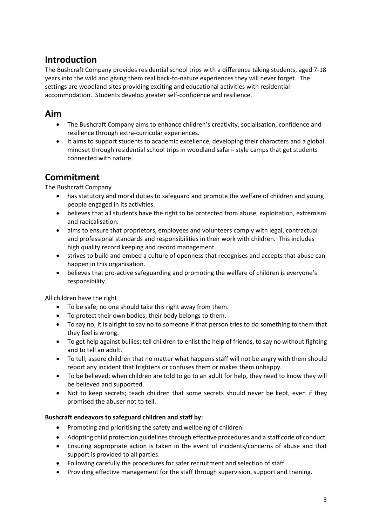### **Introduction**

The Bushcraft Company provides residential school trips with a difference taking students, aged 7-18 years into the wild and giving them real back-to-nature experiences they will never forget. The settings are woodland sites providing exciting and educational activities with residential accommodation. Students develop greater self-confidence and resilience.

### **Aim**

- The Bushcraft Company aims to enhance children's creativity, socialisation, confidence and resilience through extra-curricular experiences.
- It aims to support students to academic excellence, developing their characters and a global mindset through residential school trips in woodland safari- style camps that get students connected with nature.

### **Commitment**

The Bushcraft Company

- has statutory and moral duties to safeguard and promote the welfare of children and young people engaged in its activities.
- believes that all students have the right to be protected from abuse, exploitation, extremism and radicalisation.
- aims to ensure that proprietors, employees and volunteers comply with legal, contractual and professional standards and responsibilities in their work with children. This includes high quality record keeping and record management.
- strives to build and embed a culture of openness that recognises and accepts that abuse can happen in this organisation.
- believes that pro-active safeguarding and promoting the welfare of children is everyone's responsibility.

All children have the right

- To be safe; no one should take this right away from them.
- To protect their own bodies; their body belongs to them.
- To say no; it is alright to say no to someone if that person tries to do something to them that they feel is wrong.
- To get help against bullies; tell children to enlist the help of friends, to say no without fighting and to tell an adult.
- To tell; assure children that no matter what happens staff will not be angry with them should report any incident that frightens or confuses them or makes them unhappy.
- To be believed; when children are told to go to an adult for help, they need to know they will be believed and supported.
- Not to keep secrets; teach children that some secrets should never be kept, even if they promised the abuser not to tell.

### **Bushcraft endeavors to safeguard children and staff by:**

- Promoting and prioritising the safety and wellbeing of children.
- Adopting child protection guidelines through effective procedures and a staff code of conduct.
- Ensuring appropriate action is taken in the event of incidents/concerns of abuse and that support is provided to all parties.
- Following carefully the procedures for safer recruitment and selection of staff.
- Providing effective management for the staff through supervision, support and training.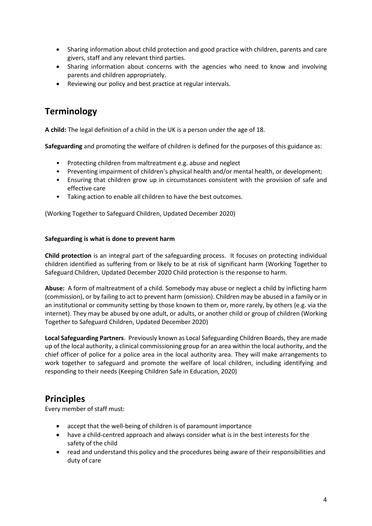- Sharing information about child protection and good practice with children, parents and care givers, staff and any relevant third parties.
- Sharing information about concerns with the agencies who need to know and involving parents and children appropriately.
- Reviewing our policy and best practice at regular intervals.

### **Terminology**

**A child:** The legal definition of a child in the UK is a person under the age of 18.

**Safeguarding** and promoting the welfare of children is defined for the purposes of this guidance as:

- Protecting children from maltreatment e.g. abuse and neglect
- Preventing impairment of children's physical health and/or mental health, or development;
- Ensuring that children grow up in circumstances consistent with the provision of safe and effective care
- Taking action to enable all children to have the best outcomes.

(Working Together to Safeguard Children, Updated December 2020)

#### **Safeguarding is what is done to prevent harm**

**Child protection** is an integral part of the safeguarding process. It focuses on protecting individual children identified as suffering from or likely to be at risk of significant harm (Working Together to Safeguard Children, Updated December 2020 Child protection is the response to harm.

**Abuse:** A form of maltreatment of a child. Somebody may abuse or neglect a child by inflicting harm (commission), or by failing to act to prevent harm (omission). Children may be abused in a family or in an institutional or community setting by those known to them or, more rarely, by others (e.g. via the internet). They may be abused by one adult, or adults, or another child or group of children (Working Together to Safeguard Children, Updated December 2020)

**Local Safeguarding Partners**. Previously known as Local Safeguarding Children Boards, they are made up of the local authority, a clinical commissioning group for an area within the local authority, and the chief officer of police for a police area in the local authority area. They will make arrangements to work together to safeguard and promote the welfare of local children, including identifying and responding to their needs (Keeping Children Safe in Education, 2020)

### **Principles**

Every member of staff must:

- accept that the well-being of children is of paramount importance
- have a child-centred approach and always consider what is in the best interests for the safety of the child
- read and understand this policy and the procedures being aware of their responsibilities and duty of care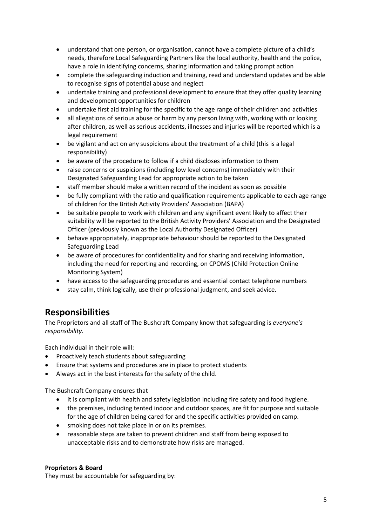- understand that one person, or organisation, cannot have a complete picture of a child's needs, therefore Local Safeguarding Partners like the local authority, health and the police, have a role in identifying concerns, sharing information and taking prompt action
- complete the safeguarding induction and training, read and understand updates and be able to recognise signs of potential abuse and neglect
- undertake training and professional development to ensure that they offer quality learning and development opportunities for children
- undertake first aid training for the specific to the age range of their children and activities
- all allegations of serious abuse or harm by any person living with, working with or looking after children, as well as serious accidents, illnesses and injuries will be reported which is a legal requirement
- be vigilant and act on any suspicions about the treatment of a child (this is a legal responsibility)
- be aware of the procedure to follow if a child discloses information to them
- raise concerns or suspicions (including low level concerns) immediately with their Designated Safeguarding Lead for appropriate action to be taken
- staff member should make a written record of the incident as soon as possible
- be fully compliant with the ratio and qualification requirements applicable to each age range of children for the British Activity Providers' Association (BAPA)
- be suitable people to work with children and any significant event likely to affect their suitability will be reported to the British Activity Providers' Association and the Designated Officer (previously known as the Local Authority Designated Officer)
- behave appropriately, inappropriate behaviour should be reported to the Designated Safeguarding Lead
- be aware of procedures for confidentiality and for sharing and receiving information, including the need for reporting and recording, on CPOMS (Child Protection Online Monitoring System)
- have access to the safeguarding procedures and essential contact telephone numbers
- stay calm, think logically, use their professional judgment, and seek advice.

### **Responsibilities**

The Proprietors and all staff of The Bushcraft Company know that safeguarding is *everyone's responsibility.* 

Each individual in their role will:

- Proactively teach students about safeguarding
- Ensure that systems and procedures are in place to protect students
- Always act in the best interests for the safety of the child.

The Bushcraft Company ensures that

- it is compliant with health and safety legislation including fire safety and food hygiene.
- the premises, including tented indoor and outdoor spaces, are fit for purpose and suitable for the age of children being cared for and the specific activities provided on camp.
- smoking does not take place in or on its premises.
- reasonable steps are taken to prevent children and staff from being exposed to unacceptable risks and to demonstrate how risks are managed.

### **Proprietors & Board**

They must be accountable for safeguarding by: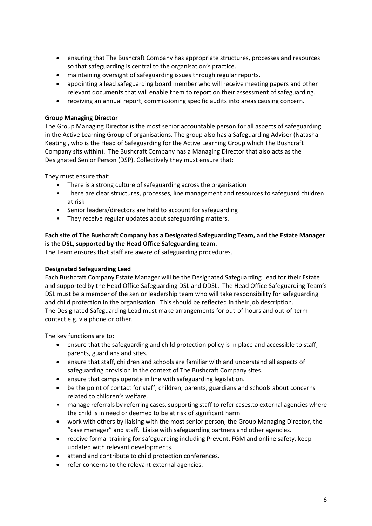- ensuring that The Bushcraft Company has appropriate structures, processes and resources so that safeguarding is central to the organisation's practice.
- maintaining oversight of safeguarding issues through regular reports.
- appointing a lead safeguarding board member who will receive meeting papers and other relevant documents that will enable them to report on their assessment of safeguarding.
- receiving an annual report, commissioning specific audits into areas causing concern.

#### **Group Managing Director**

The Group Managing Director is the most senior accountable person for all aspects of safeguarding in the Active Learning Group of organisations. The group also has a Safeguarding Adviser (Natasha Keating , who is the Head of Safeguarding for the Active Learning Group which The Bushcraft Company sits within). The Bushcraft Company has a Managing Director that also acts as the Designated Senior Person (DSP). Collectively they must ensure that:

They must ensure that:

- There is a strong culture of safeguarding across the organisation
- There are clear structures, processes, line management and resources to safeguard children at risk
- Senior leaders/directors are held to account for safeguarding
- They receive regular updates about safeguarding matters.

### **Each site of The Bushcraft Company has a Designated Safeguarding Team, and the Estate Manager is the DSL, supported by the Head Office Safeguarding team.**

The Team ensures that staff are aware of safeguarding procedures.

#### **Designated Safeguarding Lead**

Each Bushcraft Company Estate Manager will be the Designated Safeguarding Lead for their Estate and supported by the Head Office Safeguarding DSL and DDSL. The Head Office Safeguarding Team's DSL must be a member of the senior leadership team who will take responsibility for safeguarding and child protection in the organisation. This should be reflected in their job description. The Designated Safeguarding Lead must make arrangements for out-of-hours and out-of-term contact e.g. via phone or other.

The key functions are to:

- ensure that the safeguarding and child protection policy is in place and accessible to staff, parents, guardians and sites.
- ensure that staff, children and schools are familiar with and understand all aspects of safeguarding provision in the context of The Bushcraft Company sites.
- ensure that camps operate in line with safeguarding legislation.
- be the point of contact for staff, children, parents, guardians and schools about concerns related to children's welfare.
- manage referrals by referring cases, supporting staff to refer cases.to external agencies where the child is in need or deemed to be at risk of significant harm
- work with others by liaising with the most senior person, the Group Managing Director, the "case manager" and staff. Liaise with safeguarding partners and other agencies.
- receive formal training for safeguarding including Prevent, FGM and online safety, keep updated with relevant developments.
- attend and contribute to child protection conferences.
- refer concerns to the relevant external agencies.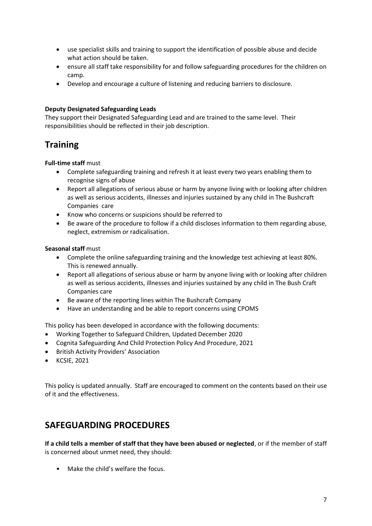- use specialist skills and training to support the identification of possible abuse and decide what action should be taken.
- ensure all staff take responsibility for and follow safeguarding procedures for the children on camp.
- Develop and encourage a culture of listening and reducing barriers to disclosure.

#### **Deputy Designated Safeguarding Leads**

They support their Designated Safeguarding Lead and are trained to the same level. Their responsibilities should be reflected in their job description.

### **Training**

#### **Full-time staff** must

- Complete safeguarding training and refresh it at least every two years enabling them to recognise signs of abuse
- Report all allegations of serious abuse or harm by anyone living with or looking after children as well as serious accidents, illnesses and injuries sustained by any child in The Bushcraft Companies care
- Know who concerns or suspicions should be referred to
- Be aware of the procedure to follow if a child discloses information to them regarding abuse, neglect, extremism or radicalisation.

#### **Seasonal staff** must

- Complete the online safeguarding training and the knowledge test achieving at least 80%. This is renewed annually.
- Report all allegations of serious abuse or harm by anyone living with or looking after children as well as serious accidents, illnesses and injuries sustained by any child in The Bush Craft Companies care
- Be aware of the reporting lines within The Bushcraft Company
- Have an understanding and be able to report concerns using CPOMS

This policy has been developed in accordance with the following documents:

- Working Together to Safeguard Children, Updated December 2020
- Cognita Safeguarding And Child Protection Policy And Procedure, 2021
- British Activity Providers' Association
- KCSIE, 2021

This policy is updated annually. Staff are encouraged to comment on the contents based on their use of it and the effectiveness.

### **SAFEGUARDING PROCEDURES**

**If a child tells a member of staff that they have been abused or neglected**, or if the member of staff is concerned about unmet need, they should:

• Make the child's welfare the focus.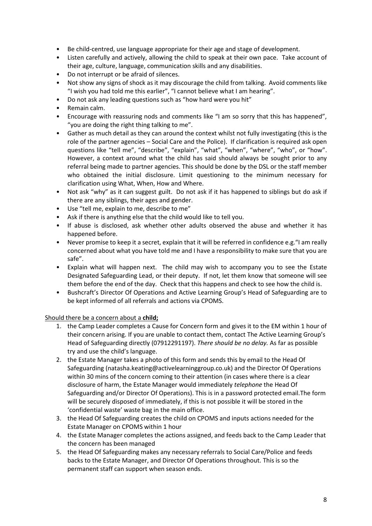- Be child-centred, use language appropriate for their age and stage of development.
- Listen carefully and actively, allowing the child to speak at their own pace. Take account of their age, culture, language, communication skills and any disabilities.
- Do not interrupt or be afraid of silences.
- Not show any signs of shock as it may discourage the child from talking. Avoid comments like "I wish you had told me this earlier", "I cannot believe what I am hearing".
- Do not ask any leading questions such as "how hard were you hit"
- Remain calm.
- Encourage with reassuring nods and comments like "I am so sorry that this has happened", "you are doing the right thing talking to me".
- Gather as much detail as they can around the context whilst not fully investigating (this is the role of the partner agencies – Social Care and the Police). If clarification is required ask open questions like "tell me", "describe", "explain", "what", "when", "where", "who", or "how". However, a context around what the child has said should always be sought prior to any referral being made to partner agencies. This should be done by the DSL or the staff member who obtained the initial disclosure. Limit questioning to the minimum necessary for clarification using What, When, How and Where.
- Not ask "why" as it can suggest guilt. Do not ask if it has happened to siblings but do ask if there are any siblings, their ages and gender.
- Use "tell me, explain to me, describe to me"
- Ask if there is anything else that the child would like to tell you.
- If abuse is disclosed, ask whether other adults observed the abuse and whether it has happened before.
- Never promise to keep it a secret, explain that it will be referred in confidence e.g."I am really concerned about what you have told me and I have a responsibility to make sure that you are safe".
- Explain what will happen next. The child may wish to accompany you to see the Estate Designated Safeguarding Lead, or their deputy. If not, let them know that someone will see them before the end of the day. Check that this happens and check to see how the child is.
- Bushcraft's Director Of Operations and Active Learning Group's Head of Safeguarding are to be kept informed of all referrals and actions via CPOMS.

### Should there be a concern about a **child;**

- 1. the Camp Leader completes a Cause for Concern form and gives it to the EM within 1 hour of their concern arising. If you are unable to contact them, contact The Active Learning Group's Head of Safeguarding directly (07912291197). *There should be no delay.* As far as possible try and use the child's language.
- 2. the Estate Manager takes a photo of this form and sends this by email to the Head Of Safeguarding (natasha.keating@activelearninggroup.co.uk) and the Director Of Operations within 30 mins of the concern coming to their attention (in cases where there is a clear disclosure of harm, the Estate Manager would immediately *telephone* the Head Of Safeguarding and/or Director Of Operations). This is in a password protected email.The form will be securely disposed of immediately, if this is not possible it will be stored in the 'confidential waste' waste bag in the main office.
- 3. the Head Of Safeguarding creates the child on CPOMS and inputs actions needed for the Estate Manager on CPOMS within 1 hour
- 4. the Estate Manager completes the actions assigned, and feeds back to the Camp Leader that the concern has been managed
- 5. the Head Of Safeguarding makes any necessary referrals to Social Care/Police and feeds backs to the Estate Manager, and Director Of Operations throughout. This is so the permanent staff can support when season ends.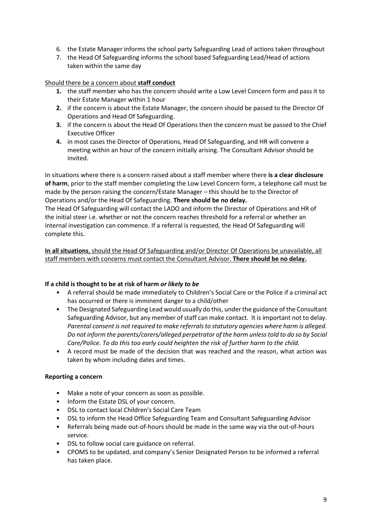- 6. the Estate Manager informs the school party Safeguarding Lead of actions taken throughout
- 7. the Head Of Safeguarding informs the school based Safeguarding Lead/Head of actions taken within the same day

Should there be a concern about **staff conduct**

- **1.** the staff member who has the concern should write a Low Level Concern form and pass it to their Estate Manager within 1 hour
- **2.** if the concern is about the Estate Manager, the concern should be passed to the Director Of Operations and Head Of Safeguarding.
- **3.** if the concern is about the Head Of Operations then the concern must be passed to the Chief Executive Officer
- **4.** in most cases the Director of Operations, Head Of Safeguarding, and HR will convene a meeting within an hour of the concern initially arising. The Consultant Advisor should be invited.

In situations where there is a concern raised about a staff member where there **is a clear disclosure of harm**, prior to the staff member completing the Low Level Concern form, a telephone call must be made by the person raising the concern/Estate Manager – this should be to the Director of Operations and/or the Head Of Safeguarding. **There should be no delay.**

The Head Of Safeguarding will contact the LADO and inform the Director of Operations and HR of the initial steer i.e. whether or not the concern reaches threshold for a referral or whether an internal investigation can commence. If a referral is requested, the Head Of Safeguarding will complete this.

**In all situations**, should the Head Of Safeguarding and/or Director Of Operations be unavailable, all staff members with concerns must contact the Consultant Advisor. **There should be no delay.**

### **If a child is thought to be at risk of harm** *or likely to be*

- A referral should be made immediately to Children's Social Care or the Police if a criminal act has occurred or there is imminent danger to a child/other
- The Designated Safeguarding Lead would usually do this, under the guidance of the Consultant Safeguarding Advisor, but any member of staff can make contact. It is important not to delay. *Parental consent is not required to make referrals to statutory agencies where harm is alleged. Do not inform the parents/carers/alleged perpetrator of the harm unless told to do so by Social Care/Police. To do this too early could heighten the risk of further harm to the child.*
- A record must be made of the decision that was reached and the reason, what action was taken by whom including dates and times.

### **Reporting a concern**

- Make a note of your concern as soon as possible.
- Inform the Estate DSL of your concern.
- DSL to contact local Children's Social Care Team
- DSL to inform the Head Office Safeguarding Team and Consultant Safeguarding Advisor
- Referrals being made out-of-hours should be made in the same way via the out-of-hours service.
- DSL to follow social care guidance on referral.
- CPOMS to be updated, and company's Senior Designated Person to be informed a referral has taken place.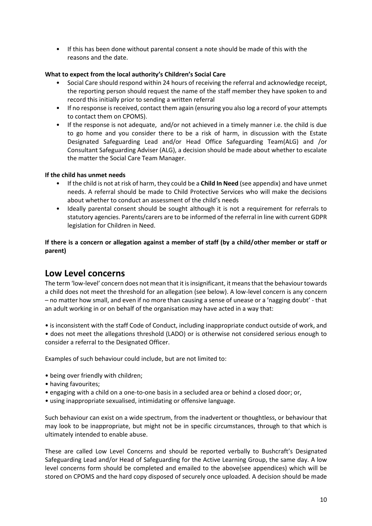• If this has been done without parental consent a note should be made of this with the reasons and the date.

### **What to expect from the local authority's Children's Social Care**

- Social Care should respond within 24 hours of receiving the referral and acknowledge receipt, the reporting person should request the name of the staff member they have spoken to and record this initially prior to sending a written referral
- If no response is received, contact them again (ensuring you also log a record of your attempts to contact them on CPOMS).
- If the response is not adequate, and/or not achieved in a timely manner i.e. the child is due to go home and you consider there to be a risk of harm, in discussion with the Estate Designated Safeguarding Lead and/or Head Office Safeguarding Team(ALG) and /or Consultant Safeguarding Adviser (ALG), a decision should be made about whether to escalate the matter the Social Care Team Manager.

### **If the child has unmet needs**

- If the child is not at risk of harm, they could be a **Child In Need** (see appendix) and have unmet needs. A referral should be made to Child Protective Services who will make the decisions about whether to conduct an assessment of the child's needs
- Ideally parental consent should be sought although it is not a requirement for referrals to statutory agencies. Parents/carers are to be informed of the referral in line with current GDPR legislation for Children in Need.

### **If there is a concern or allegation against a member of staff (by a child/other member or staff or parent)**

### **Low Level concerns**

The term 'low-level' concern does not mean that it is insignificant, it means that the behaviour towards a child does not meet the threshold for an allegation (see below). A low-level concern is any concern – no matter how small, and even if no more than causing a sense of unease or a 'nagging doubt' - that an adult working in or on behalf of the organisation may have acted in a way that:

• is inconsistent with the staff Code of Conduct, including inappropriate conduct outside of work, and • does not meet the allegations threshold (LADO) or is otherwise not considered serious enough to consider a referral to the Designated Officer.

Examples of such behaviour could include, but are not limited to:

- being over friendly with children;
- having favourites;
- engaging with a child on a one-to-one basis in a secluded area or behind a closed door; or,
- using inappropriate sexualised, intimidating or offensive language.

Such behaviour can exist on a wide spectrum, from the inadvertent or thoughtless, or behaviour that may look to be inappropriate, but might not be in specific circumstances, through to that which is ultimately intended to enable abuse.

These are called Low Level Concerns and should be reported verbally to Bushcraft's Designated Safeguarding Lead and/or Head of Safeguarding for the Active Learning Group, the same day. A low level concerns form should be completed and emailed to the above(see appendices) which will be stored on CPOMS and the hard copy disposed of securely once uploaded. A decision should be made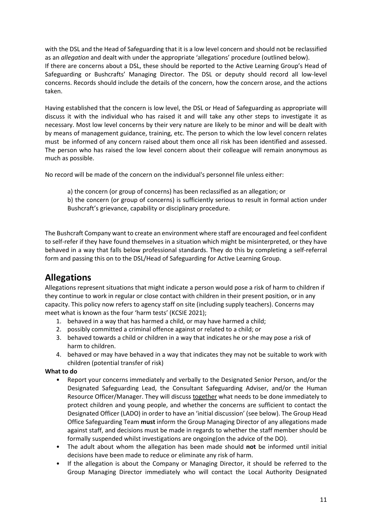with the DSL and the Head of Safeguarding that it is a low level concern and should not be reclassified as an *allegation* and dealt with under the appropriate 'allegations' procedure (outlined below). If there are concerns about a DSL, these should be reported to the Active Learning Group's Head of Safeguarding or Bushcrafts' Managing Director. The DSL or deputy should record all low-level concerns. Records should include the details of the concern, how the concern arose, and the actions taken.

Having established that the concern is low level, the DSL or Head of Safeguarding as appropriate will discuss it with the individual who has raised it and will take any other steps to investigate it as necessary. Most low level concerns by their very nature are likely to be minor and will be dealt with by means of management guidance, training, etc. The person to which the low level concern relates must be informed of any concern raised about them once all risk has been identified and assessed. The person who has raised the low level concern about their colleague will remain anonymous as much as possible.

No record will be made of the concern on the individual's personnel file unless either:

a) the concern (or group of concerns) has been reclassified as an allegation; or

b) the concern (or group of concerns) is sufficiently serious to result in formal action under Bushcraft's grievance, capability or disciplinary procedure.

The Bushcraft Company want to create an environment where staff are encouraged and feel confident to self-refer if they have found themselves in a situation which might be misinterpreted, or they have behaved in a way that falls below professional standards. They do this by completing a self-referral form and passing this on to the DSL/Head of Safeguarding for Active Learning Group.

### **Allegations**

Allegations represent situations that might indicate a person would pose a risk of harm to children if they continue to work in regular or close contact with children in their present position, or in any capacity. This policy now refers to agency staff on site (including supply teachers). Concerns may meet what is known as the four 'harm tests' (KCSIE 2021);

- 1. behaved in a way that has harmed a child, or may have harmed a child;
- 2. possibly committed a criminal offence against or related to a child; or
- 3. behaved towards a child or children in a way that indicates he or she may pose a risk of harm to children.
- 4. behaved or may have behaved in a way that indicates they may not be suitable to work with children (potential transfer of risk)

### **What to do**

- Report your concerns immediately and verbally to the Designated Senior Person, and/or the Designated Safeguarding Lead, the Consultant Safeguarding Adviser, and/or the Human Resource Officer/Manager. They will discuss together what needs to be done immediately to protect children and young people, and whether the concerns are sufficient to contact the Designated Officer (LADO) in order to have an 'initial discussion' (see below). The Group Head Office Safeguarding Team **must** inform the Group Managing Director of any allegations made against staff, and decisions must be made in regards to whether the staff member should be formally suspended whilst investigations are ongoing(on the advice of the DO).
- The adult about whom the allegation has been made should **not** be informed until initial decisions have been made to reduce or eliminate any risk of harm.
- If the allegation is about the Company or Managing Director, it should be referred to the Group Managing Director immediately who will contact the Local Authority Designated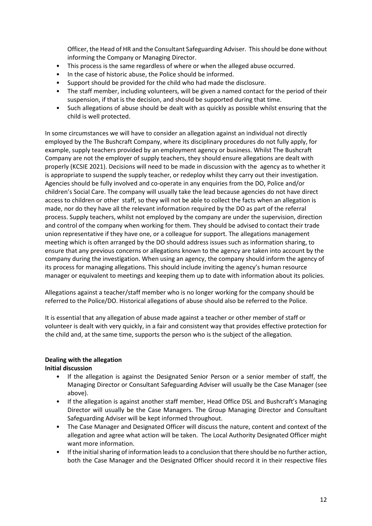Officer, the Head of HR and the Consultant Safeguarding Adviser. This should be done without informing the Company or Managing Director.

- This process is the same regardless of where or when the alleged abuse occurred.
- In the case of historic abuse, the Police should be informed.
- Support should be provided for the child who had made the disclosure.
- The staff member, including volunteers, will be given a named contact for the period of their suspension, if that is the decision, and should be supported during that time.
- Such allegations of abuse should be dealt with as quickly as possible whilst ensuring that the child is well protected.

In some circumstances we will have to consider an allegation against an individual not directly employed by the The Bushcraft Company, where its disciplinary procedures do not fully apply, for example, supply teachers provided by an employment agency or business. Whilst The Bushcraft Company are not the employer of supply teachers, they should ensure allegations are dealt with properly (KCSIE 2021). Decisions will need to be made in discussion with the agency as to whether it is appropriate to suspend the supply teacher, or redeploy whilst they carry out their investigation. Agencies should be fully involved and co-operate in any enquiries from the DO, Police and/or children's Social Care. The company will usually take the lead because agencies do not have direct access to children or other staff, so they will not be able to collect the facts when an allegation is made, nor do they have all the relevant information required by the DO as part of the referral process. Supply teachers, whilst not employed by the company are under the supervision, direction and control of the company when working for them. They should be advised to contact their trade union representative if they have one, or a colleague for support. The allegations management meeting which is often arranged by the DO should address issues such as information sharing, to ensure that any previous concerns or allegations known to the agency are taken into account by the company during the investigation. When using an agency, the company should inform the agency of its process for managing allegations. This should include inviting the agency's human resource manager or equivalent to meetings and keeping them up to date with information about its policies.

Allegations against a teacher/staff member who is no longer working for the company should be referred to the Police/DO. Historical allegations of abuse should also be referred to the Police.

It is essential that any allegation of abuse made against a teacher or other member of staff or volunteer is dealt with very quickly, in a fair and consistent way that provides effective protection for the child and, at the same time, supports the person who is the subject of the allegation.

#### **Dealing with the allegation**

#### **Initial discussion**

- If the allegation is against the Designated Senior Person or a senior member of staff, the Managing Director or Consultant Safeguarding Adviser will usually be the Case Manager (see above).
- If the allegation is against another staff member, Head Office DSL and Bushcraft's Managing Director will usually be the Case Managers. The Group Managing Director and Consultant Safeguarding Adviser will be kept informed throughout.
- The Case Manager and Designated Officer will discuss the nature, content and context of the allegation and agree what action will be taken. The Local Authority Designated Officer might want more information.
- If the initial sharing of information leads to a conclusion that there should be no further action, both the Case Manager and the Designated Officer should record it in their respective files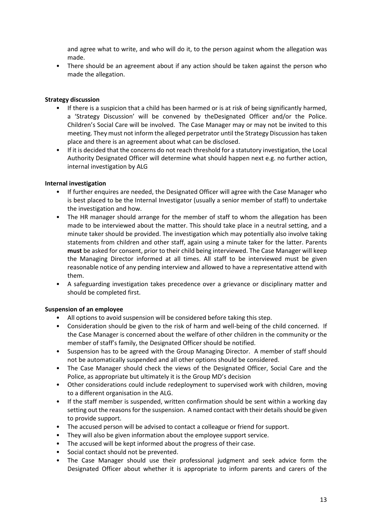and agree what to write, and who will do it, to the person against whom the allegation was made.

• There should be an agreement about if any action should be taken against the person who made the allegation.

#### **Strategy discussion**

- If there is a suspicion that a child has been harmed or is at risk of being significantly harmed, a 'Strategy Discussion' will be convened by theDesignated Officer and/or the Police. Children's Social Care will be involved. The Case Manager may or may not be invited to this meeting. They must not inform the alleged perpetrator until the Strategy Discussion has taken place and there is an agreement about what can be disclosed.
- If it is decided that the concerns do not reach threshold for a statutory investigation, the Local Authority Designated Officer will determine what should happen next e.g. no further action, internal investigation by ALG

#### **Internal investigation**

- If further enquires are needed, the Designated Officer will agree with the Case Manager who is best placed to be the Internal Investigator (usually a senior member of staff) to undertake the investigation and how.
- The HR manager should arrange for the member of staff to whom the allegation has been made to be interviewed about the matter. This should take place in a neutral setting, and a minute taker should be provided. The investigation which may potentially also involve taking statements from children and other staff, again using a minute taker for the latter. Parents **must** be asked for consent, prior to their child being interviewed. The Case Manager will keep the Managing Director informed at all times. All staff to be interviewed must be given reasonable notice of any pending interview and allowed to have a representative attend with them.
- A safeguarding investigation takes precedence over a grievance or disciplinary matter and should be completed first.

#### **Suspension of an employee**

- All options to avoid suspension will be considered before taking this step.
- Consideration should be given to the risk of harm and well-being of the child concerned. If the Case Manager is concerned about the welfare of other children in the community or the member of staff's family, the Designated Officer should be notified.
- Suspension has to be agreed with the Group Managing Director. A member of staff should not be automatically suspended and all other options should be considered.
- The Case Manager should check the views of the Designated Officer, Social Care and the Police, as appropriate but ultimately it is the Group MD's decision
- Other considerations could include redeployment to supervised work with children, moving to a different organisation in the ALG.
- If the staff member is suspended, written confirmation should be sent within a working day setting out the reasons for the suspension. A named contact with their details should be given to provide support.
- The accused person will be advised to contact a colleague or friend for support.
- They will also be given information about the employee support service.
- The accused will be kept informed about the progress of their case.
- Social contact should not be prevented.
- The Case Manager should use their professional judgment and seek advice form the Designated Officer about whether it is appropriate to inform parents and carers of the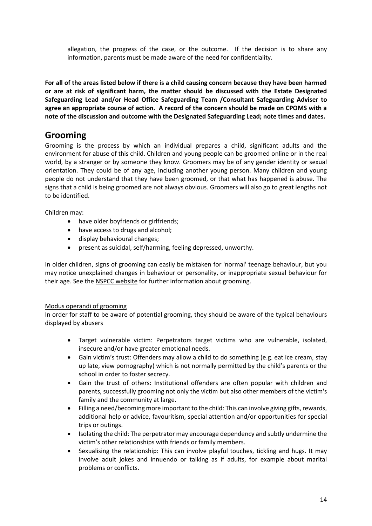allegation, the progress of the case, or the outcome. If the decision is to share any information, parents must be made aware of the need for confidentiality.

**For all of the areas listed below if there is a child causing concern because they have been harmed or are at risk of significant harm, the matter should be discussed with the Estate Designated Safeguarding Lead and/or Head Office Safeguarding Team /Consultant Safeguarding Adviser to agree an appropriate course of action. A record of the concern should be made on CPOMS with a note of the discussion and outcome with the Designated Safeguarding Lead; note times and dates.**

### **Grooming**

Grooming is the process by which an individual prepares a child, significant adults and the environment for abuse of this child. Children and young people can be groomed online or in the real world, by a stranger or by someone they know. Groomers may be of any gender identity or sexual orientation. They could be of any age, including another young person. Many children and young people do not understand that they have been groomed, or that what has happened is abuse. The signs that a child is being groomed are not always obvious. Groomers will also go to great lengths not to be identified.

Children may:

- have older boyfriends or girlfriends;
- have access to drugs and alcohol;
- display behavioural changes;
- present as suicidal, self/harming, feeling depressed, unworthy.

In older children, signs of grooming can easily be mistaken for 'normal' teenage behaviour, but you may notice unexplained changes in behaviour or personality, or inappropriate sexual behaviour for their age. See the [NSPCC website](https://www.nspcc.org.uk/preventing-abuse/keeping-children-safe/healthy-sexual-behaviour-children-young-people/) for further information about grooming.

### Modus operandi of grooming

In order for staff to be aware of potential grooming, they should be aware of the typical behaviours displayed by abusers

- Target vulnerable victim: Perpetrators target victims who are vulnerable, isolated, insecure and/or have greater emotional needs.
- Gain victim's trust: Offenders may allow a child to do something (e.g. eat ice cream, stay up late, view pornography) which is not normally permitted by the child's parents or the school in order to foster secrecy.
- Gain the trust of others: Institutional offenders are often popular with children and parents, successfully grooming not only the victim but also other members of the victim's family and the community at large.
- Filling a need/becoming more important to the child: This can involve giving gifts, rewards, additional help or advice, favouritism, special attention and/or opportunities for special trips or outings.
- Isolating the child: The perpetrator may encourage dependency and subtly undermine the victim's other relationships with friends or family members.
- Sexualising the relationship: This can involve playful touches, tickling and hugs. It may involve adult jokes and innuendo or talking as if adults, for example about marital problems or conflicts.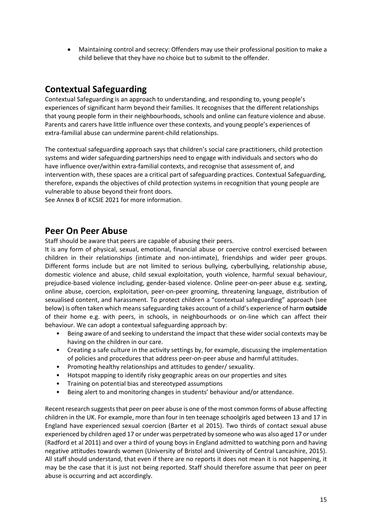• Maintaining control and secrecy: Offenders may use their professional position to make a child believe that they have no choice but to submit to the offender.

### **Contextual Safeguarding**

Contextual Safeguarding is an approach to understanding, and responding to, young people's experiences of significant harm beyond their families. It recognises that the different relationships that young people form in their neighbourhoods, schools and online can feature violence and abuse. Parents and carers have little influence over these contexts, and young people's experiences of extra-familial abuse can undermine parent-child relationships.

The contextual safeguarding approach says that children's social care practitioners, child protection systems and wider safeguarding partnerships need to engage with individuals and sectors who do have influence over/within extra-familial contexts, and recognise that assessment of, and intervention with, these spaces are a critical part of safeguarding practices. Contextual Safeguarding, therefore, expands the objectives of child protection systems in recognition that young people are vulnerable to abuse beyond their front doors.

See Annex B of KCSIE 2021 for more information.

### **Peer On Peer Abuse**

Staff should be aware that peers are capable of abusing their peers.

It is any form of physical, sexual, emotional, financial abuse or coercive control exercised between children in their relationships (intimate and non-intimate), friendships and wider peer groups. Different forms include but are not limited to serious bullying, cyberbullying, relationship abuse, domestic violence and abuse, child sexual exploitation, youth violence, harmful sexual behaviour, prejudice-based violence including, gender-based violence. Online peer-on-peer abuse e.g. sexting, online abuse, coercion, exploitation, peer-on-peer grooming, threatening language, distribution of sexualised content, and harassment. To protect children a "contextual safeguarding" approach (see below) is often taken which means safeguarding takes account of a child's experience of harm **outside**  of their home e.g. with peers, in schools, in neighbourhoods or on-line which can affect their behaviour. We can adopt a contextual safeguarding approach by:

- Being aware of and seeking to understand the impact that these wider social contexts may be having on the children in our care.
- Creating a safe culture in the activity settings by, for example, discussing the implementation of policies and procedures that address peer-on-peer abuse and harmful attitudes.
- Promoting healthy relationships and attitudes to gender/ sexuality.
- Hotspot mapping to identify risky geographic areas on our properties and sites
- Training on potential bias and stereotyped assumptions
- Being alert to and monitoring changes in students' behaviour and/or attendance.

Recent research suggests that peer on peer abuse is one of the most common forms of abuse affecting children in the UK. For example, more than four in ten teenage schoolgirls aged between 13 and 17 in England have experienced sexual coercion (Barter et al 2015). Two thirds of contact sexual abuse experienced by children aged 17 or under was perpetrated by someone who was also aged 17 or under (Radford et al 2011) and over a third of young boys in England admitted to watching porn and having negative attitudes towards women (University of Bristol and University of Central Lancashire, 2015). All staff should understand, that even if there are no reports it does not mean it is not happening, it may be the case that it is just not being reported. Staff should therefore assume that peer on peer abuse is occurring and act accordingly.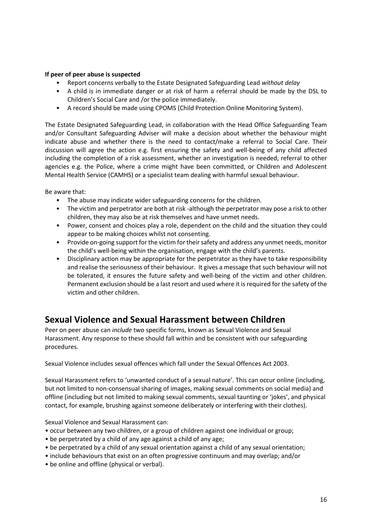#### **If peer of peer abuse is suspected**

- Report concerns verbally to the Estate Designated Safeguarding Lead *without delay*
- A child is in immediate danger or at risk of harm a referral should be made by the DSL to Children's Social Care and /or the police immediately.
- A record should be made using CPOMS (Child Protection Online Monitoring System).

The Estate Designated Safeguarding Lead, in collaboration with the Head Office Safeguarding Team and/or Consultant Safeguarding Adviser will make a decision about whether the behaviour might indicate abuse and whether there is the need to contact/make a referral to Social Care. Their discussion will agree the action e.g. first ensuring the safety and well-being of any child affected including the completion of a risk assessment, whether an investigation is needed, referral to other agencies e.g. the Police, where a crime might have been committed, or Children and Adolescent Mental Health Service (CAMHS) or a specialist team dealing with harmful sexual behaviour.

Be aware that:

- The abuse may indicate wider safeguarding concerns for the children.
- The victim and perpetrator are both at risk -although the perpetrator may pose a risk to other children, they may also be at risk themselves and have unmet needs.
- Power, consent and choices play a role, dependent on the child and the situation they could appear to be making choices whilst not consenting.
- Provide on-going support for the victim for their safety and address any unmet needs, monitor the child's well-being within the organisation, engage with the child's parents.
- Disciplinary action may be appropriate for the perpetrator as they have to take responsibility and realise the seriousness of their behaviour. It gives a message that such behaviour will not be tolerated, it ensures the future safety and well-being of the victim and other children. Permanent exclusion should be a last resort and used where it is required for the safety of the victim and other children.

### **Sexual Violence and Sexual Harassment between Children**

Peer on peer abuse can *include* two specific forms, known as Sexual Violence and Sexual Harassment. Any response to these should fall within and be consistent with our safeguarding procedures.

Sexual Violence includes sexual offences which fall under the Sexual Offences Act 2003.

Sexual Harassment refers to 'unwanted conduct of a sexual nature'. This can occur online (including, but not limited to non-consensual sharing of images, making sexual comments on social media) and offline (including but not limited to making sexual comments, sexual taunting or 'jokes', and physical contact, for example, brushing against someone deliberately or interfering with their clothes).

Sexual Violence and Sexual Harassment can:

- occur between any two children, or a group of children against one individual or group;
- be perpetrated by a child of any age against a child of any age;
- be perpetrated by a child of any sexual orientation against a child of any sexual orientation;
- include behaviours that exist on an often progressive continuum and may overlap; and/or
- be online and offline (physical or verbal).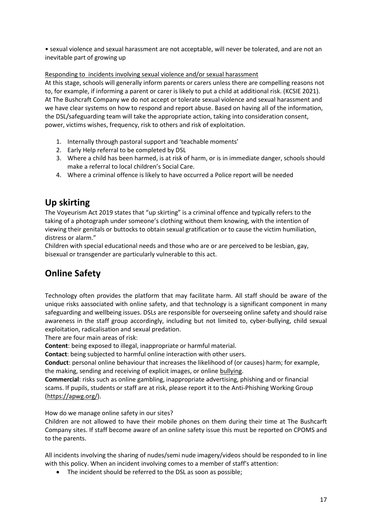• sexual violence and sexual harassment are not acceptable, will never be tolerated, and are not an inevitable part of growing up

Responding to incidents involving sexual violence and/or sexual harassment

At this stage, schools will generally inform parents or carers unless there are compelling reasons not to, for example, if informing a parent or carer is likely to put a child at additional risk. (KCSIE 2021). At The Bushcraft Company we do not accept or tolerate sexual violence and sexual harassment and we have clear systems on how to respond and report abuse. Based on having all of the information, the DSL/safeguarding team will take the appropriate action, taking into consideration consent, power, victims wishes, frequency, risk to others and risk of exploitation.

- 1. Internally through pastoral support and 'teachable moments'
- 2. Early Help referral to be completed by DSL
- 3. Where a child has been harmed, is at risk of harm, or is in immediate danger, schools should make a referral to local children's Social Care.
- 4. Where a criminal offence is likely to have occurred a Police report will be needed

### **Up skirting**

The Voyeurism Act 2019 states that "up skirting" is a criminal offence and typically refers to the taking of a photograph under someone's clothing without them knowing, with the intention of viewing their genitals or buttocks to obtain sexual gratification or to cause the victim humiliation, distress or alarm."

Children with special educational needs and those who are or are perceived to be lesbian, gay, bisexual or transgender are particularly vulnerable to this act.

### **Online Safety**

Technology often provides the platform that may facilitate harm. All staff should be aware of the unique risks aassociated with online safety, and that technology is a significant component in many safeguarding and wellbeing issues. DSLs are responsible for overseeing online safety and should raise awareness in the staff group accordingly, including but not limited to, cyber-bullying, child sexual exploitation, radicalisation and sexual predation.

There are four main areas of risk:

**Content**: being exposed to illegal, inappropriate or harmful material.

**Contact**: being subjected to harmful online interaction with other users.

**Conduct**: personal online behaviour that increases the likelihood of (or causes) harm; for example, the making, sending and receiving of explicit images, or online bullying.

**Commercial**: risks such as online gambling, inappropriate advertising, phishing and or financial scams. If pupils, students or staff are at risk, please report it to the Anti-Phishing Working Group [\(https://apwg.org/\)](https://apwg.org/).

How do we manage online safety in our sites?

Children are not allowed to have their mobile phones on them during their time at The Bushcarft Company sites. If staff become aware of an online safety issue this must be reported on CPOMS and to the parents.

All incidents involving the sharing of nudes/semi nude imagery/videos should be responded to in line with this policy. When an incident involving comes to a member of staff's attention:

• The incident should be referred to the DSL as soon as possible;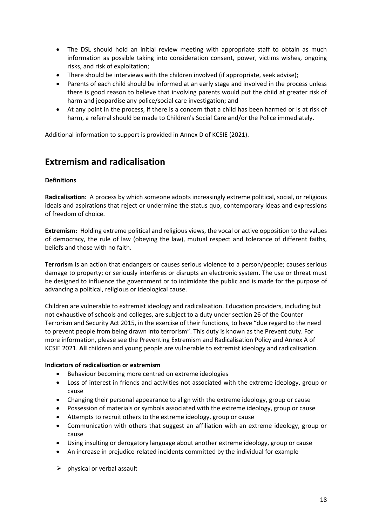- The DSL should hold an initial review meeting with appropriate staff to obtain as much information as possible taking into consideration consent, power, victims wishes, ongoing risks, and risk of exploitation;
- There should be interviews with the children involved (if appropriate, seek advise);
- Parents of each child should be informed at an early stage and involved in the process unless there is good reason to believe that involving parents would put the child at greater risk of harm and jeopardise any police/social care investigation; and
- At any point in the process, if there is a concern that a child has been harmed or is at risk of harm, a referral should be made to Children's Social Care and/or the Police immediately.

Additional information to support is provided in Annex D of KCSIE (2021).

### **Extremism and radicalisation**

### **Definitions**

**Radicalisation:** A process by which someone adopts increasingly extreme political, social, or religious ideals and aspirations that reject or undermine the status quo, contemporary ideas and expressions of freedom of choice.

**Extremism:** Holding extreme political and religious views, the vocal or active opposition to the values of democracy, the rule of law (obeying the law), mutual respect and tolerance of different faiths, beliefs and those with no faith.

**Terrorism** is an action that endangers or causes serious violence to a person/people; causes serious damage to property; or seriously interferes or disrupts an electronic system. The use or threat must be designed to influence the government or to intimidate the public and is made for the purpose of advancing a political, religious or ideological cause.

Children are vulnerable to extremist ideology and radicalisation. Education providers, including but not exhaustive of schools and colleges, are subject to a duty under section 26 of the Counter Terrorism and Security Act 2015, in the exercise of their functions, to have "due regard to the need to prevent people from being drawn into terrorism". This duty is known as the Prevent duty. For more information, please see the Preventing Extremism and Radicalisation Policy and Annex A of KCSIE 2021. **All** children and young people are vulnerable to extremist ideology and radicalisation.

#### **Indicators of radicalisation or extremism**

- Behaviour becoming more centred on extreme ideologies
- Loss of interest in friends and activities not associated with the extreme ideology, group or cause
- Changing their personal appearance to align with the extreme ideology, group or cause
- Possession of materials or symbols associated with the extreme ideology, group or cause
- Attempts to recruit others to the extreme ideology, group or cause
- Communication with others that suggest an affiliation with an extreme ideology, group or cause
- Using insulting or derogatory language about another extreme ideology, group or cause
- An increase in prejudice-related incidents committed by the individual for example
- $\triangleright$  physical or verbal assault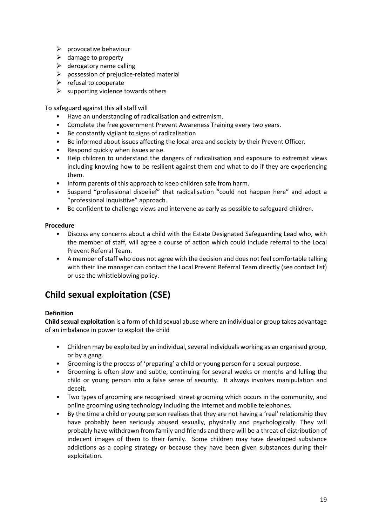- $\triangleright$  provocative behaviour
- $\triangleright$  damage to property
- $\triangleright$  derogatory name calling
- $\triangleright$  possession of prejudice-related material
- $\triangleright$  refusal to cooperate
- $\triangleright$  supporting violence towards others

To safeguard against this all staff will

- Have an understanding of radicalisation and extremism.
- Complete the free government Prevent Awareness Training every two years.
- Be constantly vigilant to signs of radicalisation
- Be informed about issues affecting the local area and society by their Prevent Officer.
- Respond quickly when issues arise.
- Help children to understand the dangers of radicalisation and exposure to extremist views including knowing how to be resilient against them and what to do if they are experiencing them.
- Inform parents of this approach to keep children safe from harm.
- Suspend "professional disbelief" that radicalisation "could not happen here" and adopt a "professional inquisitive" approach.
- Be confident to challenge views and intervene as early as possible to safeguard children.

#### **Procedure**

- Discuss any concerns about a child with the Estate Designated Safeguarding Lead who, with the member of staff, will agree a course of action which could include referral to the Local Prevent Referral Team.
- A member of staff who does not agree with the decision and does not feel comfortable talking with their line manager can contact the Local Prevent Referral Team directly (see contact list) or use the whistleblowing policy.

### **Child sexual exploitation (CSE)**

### **Definition**

**Child sexual exploitation** is a form of child sexual abuse where an individual or group takes advantage of an imbalance in power to exploit the child

- Children may be exploited by an individual, several individuals working as an organised group, or by a gang.
- Grooming is the process of 'preparing' a child or young person for a sexual purpose.
- Grooming is often slow and subtle, continuing for several weeks or months and lulling the child or young person into a false sense of security. It always involves manipulation and deceit.
- Two types of grooming are recognised: street grooming which occurs in the community, and online grooming using technology including the internet and mobile telephones.
- By the time a child or young person realises that they are not having a 'real' relationship they have probably been seriously abused sexually, physically and psychologically. They will probably have withdrawn from family and friends and there will be a threat of distribution of indecent images of them to their family. Some children may have developed substance addictions as a coping strategy or because they have been given substances during their exploitation.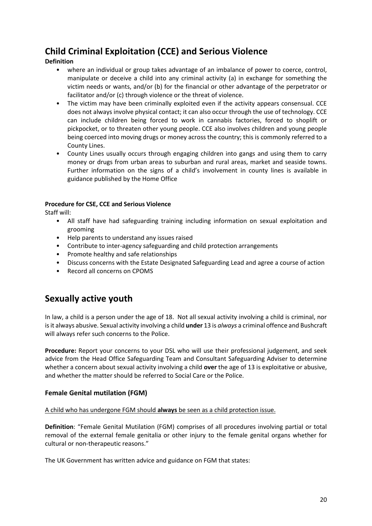### **Child Criminal Exploitation (CCE) and Serious Violence**

### **Definition**

- where an individual or group takes advantage of an imbalance of power to coerce, control, manipulate or deceive a child into any criminal activity (a) in exchange for something the victim needs or wants, and/or (b) for the financial or other advantage of the perpetrator or facilitator and/or (c) through violence or the threat of violence.
- The victim may have been criminally exploited even if the activity appears consensual. CCE does not always involve physical contact; it can also occur through the use of technology. CCE can include children being forced to work in cannabis factories, forced to shoplift or pickpocket, or to threaten other young people. CCE also involves children and young people being coerced into moving drugs or money across the country; this is commonly referred to a County Lines.
- County Lines usually occurs through engaging children into gangs and using them to carry money or drugs from urban areas to suburban and rural areas, market and seaside towns. Further information on the signs of a child's involvement in county lines is available in guidance published by the Home Office

### **Procedure for CSE, CCE and Serious Violence**

Staff will:

- All staff have had safeguarding training including information on sexual exploitation and grooming
- Help parents to understand any issues raised
- Contribute to inter-agency safeguarding and child protection arrangements
- Promote healthy and safe relationships
- Discuss concerns with the Estate Designated Safeguarding Lead and agree a course of action
- Record all concerns on CPOMS

### **Sexually active youth**

In law, a child is a person under the age of 18. Not all sexual activity involving a child is criminal, nor is it always abusive. Sexual activity involving a child **under** 13 is *always* a criminal offence and Bushcraft will always refer such concerns to the Police.

**Procedure:** Report your concerns to your DSL who will use their professional judgement, and seek advice from the Head Office Safeguarding Team and Consultant Safeguarding Adviser to determine whether a concern about sexual activity involving a child **over** the age of 13 is exploitative or abusive, and whether the matter should be referred to Social Care or the Police.

### **Female Genital mutilation (FGM)**

### A child who has undergone FGM should **always** be seen as a child protection issue.

**Definition**: "Female Genital Mutilation (FGM) comprises of all procedures involving partial or total removal of the external female genitalia or other injury to the female genital organs whether for cultural or non-therapeutic reasons."

The UK Government has written advice and guidance on FGM that states: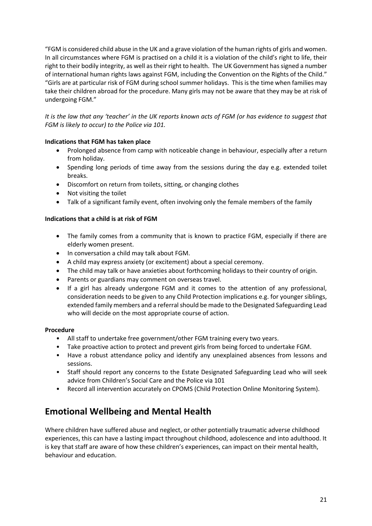"FGM is considered child abuse in the UK and a grave violation of the human rights of girls and women. In all circumstances where FGM is practised on a child it is a violation of the child's right to life, their right to their bodily integrity, as well as their right to health. The UK Government has signed a number of international human rights laws against FGM, including the Convention on the Rights of the Child." "Girls are at particular risk of FGM during school summer holidays. This is the time when families may take their children abroad for the procedure. Many girls may not be aware that they may be at risk of undergoing FGM."

*It is the law that any 'teacher' in the UK reports known acts of FGM (or has evidence to suggest that FGM is likely to occur) to the Police via 101.*

### **Indications that FGM has taken place**

- Prolonged absence from camp with noticeable change in behaviour, especially after a return from holiday.
- Spending long periods of time away from the sessions during the day e.g. extended toilet breaks.
- Discomfort on return from toilets, sitting, or changing clothes
- Not visiting the toilet
- Talk of a significant family event, often involving only the female members of the family

### **Indications that a child is at risk of FGM**

- The family comes from a community that is known to practice FGM, especially if there are elderly women present.
- In conversation a child may talk about FGM.
- A child may express anxiety (or excitement) about a special ceremony.
- The child may talk or have anxieties about forthcoming holidays to their country of origin.
- Parents or guardians may comment on overseas travel.
- If a girl has already undergone FGM and it comes to the attention of any professional, consideration needs to be given to any Child Protection implications e.g. for younger siblings, extended family members and a referral should be made to the Designated Safeguarding Lead who will decide on the most appropriate course of action.

### **Procedure**

- All staff to undertake free government/other FGM training every two years.
- Take proactive action to protect and prevent girls from being forced to undertake FGM.
- Have a robust attendance policy and identify any unexplained absences from lessons and sessions.
- Staff should report any concerns to the Estate Designated Safeguarding Lead who will seek advice from Children's Social Care and the Police via 101
- Record all intervention accurately on CPOMS (Child Protection Online Monitoring System).

### **Emotional Wellbeing and Mental Health**

Where children have suffered abuse and neglect, or other potentially traumatic adverse childhood experiences, this can have a lasting impact throughout childhood, adolescence and into adulthood. It is key that staff are aware of how these children's experiences, can impact on their mental health, behaviour and education.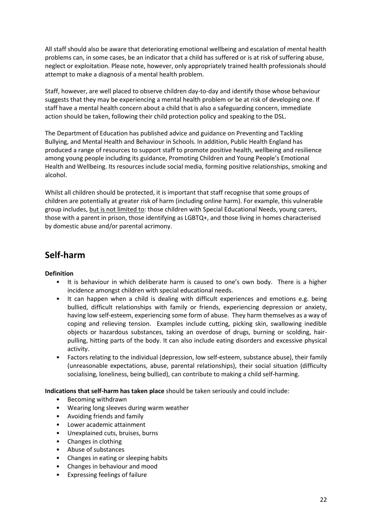All staff should also be aware that deteriorating emotional wellbeing and escalation of mental health problems can, in some cases, be an indicator that a child has suffered or is at risk of suffering abuse, neglect or exploitation. Please note, however, only appropriately trained health professionals should attempt to make a diagnosis of a mental health problem.

Staff, however, are well placed to observe children day-to-day and identify those whose behaviour suggests that they may be experiencing a mental health problem or be at risk of developing one. If staff have a mental health concern about a child that is also a safeguarding concern, immediate action should be taken, following their child protection policy and speaking to the DSL.

The Department of Education has published advice and guidance on Preventing and Tackling Bullying, and Mental Health and Behaviour in Schools. In addition, Public Health England has produced a range of resources to support staff to promote positive health, wellbeing and resilience among young people including its guidance, Promoting Children and Young People's Emotional Health and Wellbeing. Its resources include social media, forming positive relationships, smoking and alcohol.

Whilst all children should be protected, it is important that staff recognise that some groups of children are potentially at greater risk of harm (including online harm). For example, this vulnerable group includes, but is not limited to: those children with Special Educational Needs, young carers, those with a parent in prison, those identifying as LGBTQ+, and those living in homes characterised by domestic abuse and/or parental acrimony.

### **Self-harm**

### **Definition**

- It is behaviour in which deliberate harm is caused to one's own body. There is a higher incidence amongst children with special educational needs.
- It can happen when a child is dealing with difficult experiences and emotions e.g. being bullied, difficult relationships with family or friends, experiencing depression or anxiety, having low self-esteem, experiencing some form of abuse. They harm themselves as a way of coping and relieving tension. Examples include cutting, picking skin, swallowing inedible objects or hazardous substances, taking an overdose of drugs, burning or scolding, hairpulling, hitting parts of the body. It can also include eating disorders and excessive physical activity.
- Factors relating to the individual (depression, low self-esteem, substance abuse), their family (unreasonable expectations, abuse, parental relationships), their social situation (difficulty socialising, loneliness, being bullied), can contribute to making a child self-harming.

**Indications that self-harm has taken place** should be taken seriously and could include:

- Becoming withdrawn
- Wearing long sleeves during warm weather
- Avoiding friends and family
- Lower academic attainment
- Unexplained cuts, bruises, burns
- Changes in clothing
- Abuse of substances
- Changes in eating or sleeping habits
- Changes in behaviour and mood
- Expressing feelings of failure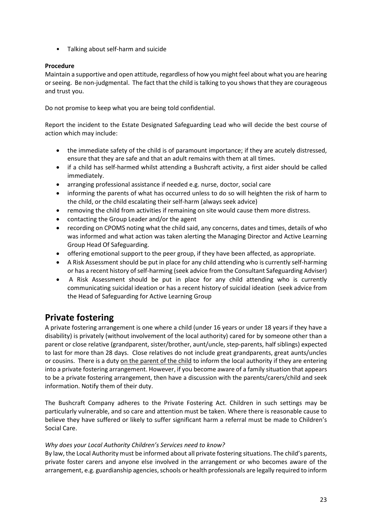• Talking about self-harm and suicide

### **Procedure**

Maintain a supportive and open attitude, regardless of how you might feel about what you are hearing or seeing. Be non-judgmental. The fact that the child is talking to you shows that they are courageous and trust you.

Do not promise to keep what you are being told confidential.

Report the incident to the Estate Designated Safeguarding Lead who will decide the best course of action which may include:

- the immediate safety of the child is of paramount importance; if they are acutely distressed, ensure that they are safe and that an adult remains with them at all times.
- if a child has self-harmed whilst attending a Bushcraft activity, a first aider should be called immediately.
- arranging professional assistance if needed e.g. nurse, doctor, social care
- informing the parents of what has occurred unless to do so will heighten the risk of harm to the child, or the child escalating their self-harm (always seek advice)
- removing the child from activities if remaining on site would cause them more distress.
- contacting the Group Leader and/or the agent
- recording on CPOMS noting what the child said, any concerns, dates and times, details of who was informed and what action was taken alerting the Managing Director and Active Learning Group Head Of Safeguarding.
- offering emotional support to the peer group, if they have been affected, as appropriate.
- A Risk Assessment should be put in place for any child attending who is currently self-harming or has a recent history of self-harming (seek advice from the Consultant Safeguarding Adviser)
- A Risk Assessment should be put in place for any child attending who is currently communicating suicidal ideation or has a recent history of suicidal ideation (seek advice from the Head of Safeguarding for Active Learning Group

### **Private fostering**

A private fostering arrangement is one where a child (under 16 years or under 18 years if they have a disability) is privately (without involvement of the local authority) cared for by someone other than a parent or close relative (grandparent, sister/brother, aunt/uncle, step-parents, half siblings) expected to last for more than 28 days. Close relatives do not include great grandparents, great aunts/uncles or cousins. There is a duty on the parent of the child to inform the local authority if they are entering into a private fostering arrangement. However, if you become aware of a family situation that appears to be a private fostering arrangement, then have a discussion with the parents/carers/child and seek information. Notify them of their duty.

The Bushcraft Company adheres to the Private Fostering Act. Children in such settings may be particularly vulnerable, and so care and attention must be taken. Where there is reasonable cause to believe they have suffered or likely to suffer significant harm a referral must be made to Children's Social Care.

### *Why does your Local Authority Children's Services need to know?*

By law, the Local Authority must be informed about all private fostering situations. The child's parents, private foster carers and anyone else involved in the arrangement or who becomes aware of the arrangement, e.g. guardianship agencies, schools or health professionals are legally required to inform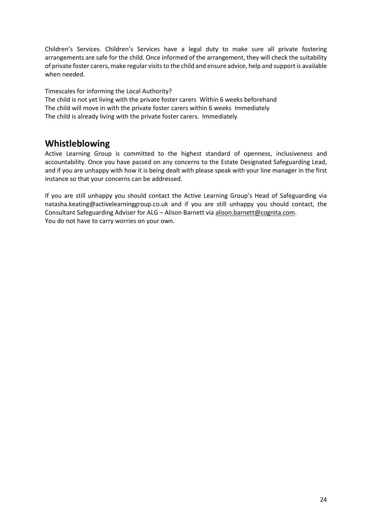Children's Services. Children's Services have a legal duty to make sure all private fostering arrangements are safe for the child. Once informed of the arrangement, they will check the suitability of private foster carers, make regular visits to the child and ensure advice, help and support is available when needed.

Timescales for informing the Local Authority?

The child is not yet living with the private foster carers Within 6 weeks beforehand The child will move in with the private foster carers within 6 weeks Immediately The child is already living with the private foster carers. Immediately

### **Whistleblowing**

Active Learning Group is committed to the highest standard of openness, inclusiveness and accountability. Once you have passed on any concerns to the Estate Designated Safeguarding Lead, and if you are unhappy with how it is being dealt with please speak with your line manager in the first instance so that your concerns can be addressed.

If you are still unhappy you should contact the Active Learning Group's Head of Safeguarding via natasha.keating@activelearninggroup.co.uk and if you are still unhappy you should contact, the Consultant Safeguarding Adviser for ALG – Alison Barnett vi[a alison.barnett@cognita.com.](mailto:alison.barnett@cognita.com) You do not have to carry worries on your own.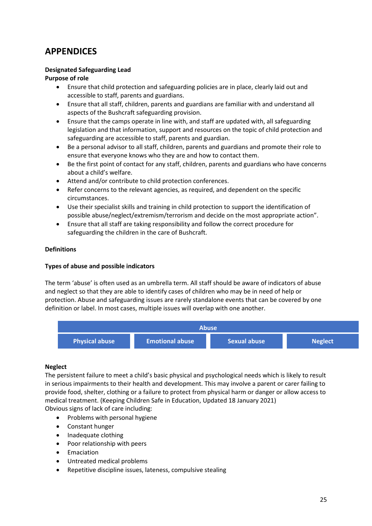### **APPENDICES**

### **Designated Safeguarding Lead**

### **Purpose of role**

- Ensure that child protection and safeguarding policies are in place, clearly laid out and accessible to staff, parents and guardians.
- Ensure that all staff, children, parents and guardians are familiar with and understand all aspects of the Bushcraft safeguarding provision.
- Ensure that the camps operate in line with, and staff are updated with, all safeguarding legislation and that information, support and resources on the topic of child protection and safeguarding are accessible to staff, parents and guardian.
- Be a personal advisor to all staff, children, parents and guardians and promote their role to ensure that everyone knows who they are and how to contact them.
- Be the first point of contact for any staff, children, parents and guardians who have concerns about a child's welfare.
- Attend and/or contribute to child protection conferences.
- Refer concerns to the relevant agencies, as required, and dependent on the specific circumstances.
- Use their specialist skills and training in child protection to support the identification of possible abuse/neglect/extremism/terrorism and decide on the most appropriate action".
- Ensure that all staff are taking responsibility and follow the correct procedure for safeguarding the children in the care of Bushcraft.

### **Definitions**

### **Types of abuse and possible indicators**

The term 'abuse' is often used as an umbrella term. All staff should be aware of indicators of abuse and neglect so that they are able to identify cases of children who may be in need of help or protection. Abuse and safeguarding issues are rarely standalone events that can be covered by one definition or label. In most cases, multiple issues will overlap with one another.



### **Neglect**

The persistent failure to meet a child's basic physical and psychological needs which is likely to result in serious impairments to their health and development. This may involve a parent or carer failing to provide food, shelter, clothing or a failure to protect from physical harm or danger or allow access to medical treatment. (Keeping Children Safe in Education, Updated 18 January 2021) Obvious signs of lack of care including:

- Problems with personal hygiene
- Constant hunger
- Inadequate clothing
- Poor relationship with peers
- Emaciation
- Untreated medical problems
- Repetitive discipline issues, lateness, compulsive stealing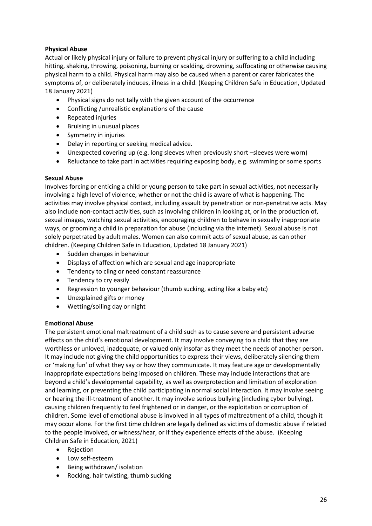### **Physical Abuse**

Actual or likely physical injury or failure to prevent physical injury or suffering to a child including hitting, shaking, throwing, poisoning, burning or scalding, drowning, suffocating or otherwise causing physical harm to a child. Physical harm may also be caused when a parent or carer fabricates the symptoms of, or deliberately induces, illness in a child. (Keeping Children Safe in Education, Updated 18 January 2021)

- Physical signs do not tally with the given account of the occurrence
- Conflicting /unrealistic explanations of the cause
- Repeated injuries
- Bruising in unusual places
- Symmetry in injuries
- Delay in reporting or seeking medical advice.
- Unexpected covering up (e.g. long sleeves when previously short –sleeves were worn)
- Reluctance to take part in activities requiring exposing body, e.g. swimming or some sports

### **Sexual Abuse**

Involves forcing or enticing a child or young person to take part in sexual activities, not necessarily involving a high level of violence, whether or not the child is aware of what is happening. The activities may involve physical contact, including assault by penetration or non-penetrative acts. May also include non-contact activities, such as involving children in looking at, or in the production of, sexual images, watching sexual activities, encouraging children to behave in sexually inappropriate ways, or grooming a child in preparation for abuse (including via the internet). Sexual abuse is not solely perpetrated by adult males. Women can also commit acts of sexual abuse, as can other children. (Keeping Children Safe in Education, Updated 18 January 2021)

- Sudden changes in behaviour
- Displays of affection which are sexual and age inappropriate
- Tendency to cling or need constant reassurance
- Tendency to cry easily
- Regression to younger behaviour (thumb sucking, acting like a baby etc)
- Unexplained gifts or money
- Wetting/soiling day or night

### **Emotional Abuse**

The persistent emotional maltreatment of a child such as to cause severe and persistent adverse effects on the child's emotional development. It may involve conveying to a child that they are worthless or unloved, inadequate, or valued only insofar as they meet the needs of another person. It may include not giving the child opportunities to express their views, deliberately silencing them or 'making fun' of what they say or how they communicate. It may feature age or developmentally inappropriate expectations being imposed on children. These may include interactions that are beyond a child's developmental capability, as well as overprotection and limitation of exploration and learning, or preventing the child participating in normal social interaction. It may involve seeing or hearing the ill-treatment of another. It may involve serious bullying (including cyber bullying), causing children frequently to feel frightened or in danger, or the exploitation or corruption of children. Some level of emotional abuse is involved in all types of maltreatment of a child, though it may occur alone. For the first time children are legally defined as victims of domestic abuse if related to the people involved, or witness/hear, or if they experience effects of the abuse. (Keeping Children Safe in Education, 2021)

- Rejection
- Low self-esteem
- Being withdrawn/ isolation
- Rocking, hair twisting, thumb sucking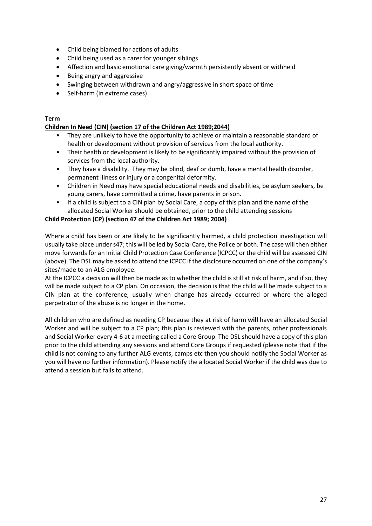- Child being blamed for actions of adults
- Child being used as a carer for younger siblings
- Affection and basic emotional care giving/warmth persistently absent or withheld
- Being angry and aggressive
- Swinging between withdrawn and angry/aggressive in short space of time
- Self-harm (in extreme cases)

### **Term**

### **Children In Need (CIN) (section 17 of the Children Act 1989;2044)**

- They are unlikely to have the opportunity to achieve or maintain a reasonable standard of health or development without provision of services from the local authority.
- Their health or development is likely to be significantly impaired without the provision of services from the local authority.
- They have a disability. They may be blind, deaf or dumb, have a mental health disorder, permanent illness or injury or a congenital deformity.
- Children in Need may have special educational needs and disabilities, be asylum seekers, be young carers, have committed a crime, have parents in prison.
- If a child is subject to a CIN plan by Social Care, a copy of this plan and the name of the allocated Social Worker should be obtained, prior to the child attending sessions

### **Child Protection (CP) (section 47 of the Children Act 1989; 2004)**

Where a child has been or are likely to be significantly harmed, a child protection investigation will usually take place under s47; this will be led by Social Care, the Police or both. The case will then either move forwards for an Initial Child Protection Case Conference (ICPCC) or the child will be assessed CIN (above). The DSL may be asked to attend the ICPCC if the disclosure occurred on one of the company's sites/made to an ALG employee.

At the ICPCC a decision will then be made as to whether the child is still at risk of harm, and if so, they will be made subject to a CP plan. On occasion, the decision is that the child will be made subject to a CIN plan at the conference, usually when change has already occurred or where the alleged perpetrator of the abuse is no longer in the home.

All children who are defined as needing CP because they at risk of harm **will** have an allocated Social Worker and will be subject to a CP plan; this plan is reviewed with the parents, other professionals and Social Worker every 4-6 at a meeting called a Core Group. The DSL should have a copy of this plan prior to the child attending any sessions and attend Core Groups if requested (please note that if the child is not coming to any further ALG events, camps etc then you should notify the Social Worker as you will have no further information). Please notify the allocated Social Worker if the child was due to attend a session but fails to attend.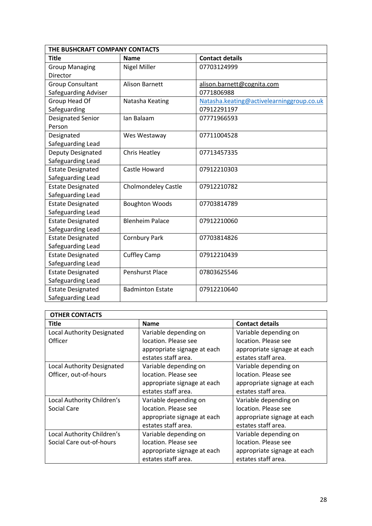| THE BUSHCRAFT COMPANY CONTACTS |                            |                                           |  |
|--------------------------------|----------------------------|-------------------------------------------|--|
| <b>Title</b>                   | <b>Name</b>                | <b>Contact details</b>                    |  |
| <b>Group Managing</b>          | <b>Nigel Miller</b>        | 07703124999                               |  |
| Director                       |                            |                                           |  |
| <b>Group Consultant</b>        | <b>Alison Barnett</b>      | alison.barnett@cognita.com                |  |
| Safeguarding Adviser           |                            | 0771806988                                |  |
| Group Head Of                  | Natasha Keating            | Natasha.keating@activelearninggroup.co.uk |  |
| Safeguarding                   |                            | 07912291197                               |  |
| Designated Senior              | Ian Balaam                 | 07771966593                               |  |
| Person                         |                            |                                           |  |
| Designated                     | Wes Westaway               | 07711004528                               |  |
| Safeguarding Lead              |                            |                                           |  |
| Deputy Designated              | <b>Chris Heatley</b>       | 07713457335                               |  |
| Safeguarding Lead              |                            |                                           |  |
| <b>Estate Designated</b>       | Castle Howard              | 07912210303                               |  |
| Safeguarding Lead              |                            |                                           |  |
| <b>Estate Designated</b>       | <b>Cholmondeley Castle</b> | 07912210782                               |  |
| Safeguarding Lead              |                            |                                           |  |
| <b>Estate Designated</b>       | <b>Boughton Woods</b>      | 07703814789                               |  |
| Safeguarding Lead              |                            |                                           |  |
| <b>Estate Designated</b>       | <b>Blenheim Palace</b>     | 07912210060                               |  |
| Safeguarding Lead              |                            |                                           |  |
| <b>Estate Designated</b>       | <b>Cornbury Park</b>       | 07703814826                               |  |
| Safeguarding Lead              |                            |                                           |  |
| <b>Estate Designated</b>       | <b>Cuffley Camp</b>        | 07912210439                               |  |
| Safeguarding Lead              |                            |                                           |  |
| <b>Estate Designated</b>       | <b>Penshurst Place</b>     | 07803625546                               |  |
| Safeguarding Lead              |                            |                                           |  |
| <b>Estate Designated</b>       | <b>Badminton Estate</b>    | 07912210640                               |  |
| Safeguarding Lead              |                            |                                           |  |

| <b>OTHER CONTACTS</b>             |                             |                             |
|-----------------------------------|-----------------------------|-----------------------------|
| Title                             | <b>Name</b>                 | <b>Contact details</b>      |
| <b>Local Authority Designated</b> | Variable depending on       | Variable depending on       |
| Officer                           | location. Please see        | location. Please see        |
|                                   | appropriate signage at each | appropriate signage at each |
|                                   | estates staff area.         | estates staff area.         |
| <b>Local Authority Designated</b> | Variable depending on       | Variable depending on       |
| Officer, out-of-hours             | location. Please see        | location. Please see        |
|                                   | appropriate signage at each | appropriate signage at each |
|                                   | estates staff area.         | estates staff area.         |
| Local Authority Children's        | Variable depending on       | Variable depending on       |
| Social Care                       | location. Please see        | location. Please see        |
|                                   | appropriate signage at each | appropriate signage at each |
|                                   | estates staff area.         | estates staff area.         |
| Local Authority Children's        | Variable depending on       | Variable depending on       |
| Social Care out-of-hours          | location. Please see        | location. Please see        |
|                                   | appropriate signage at each | appropriate signage at each |
|                                   | estates staff area.         | estates staff area.         |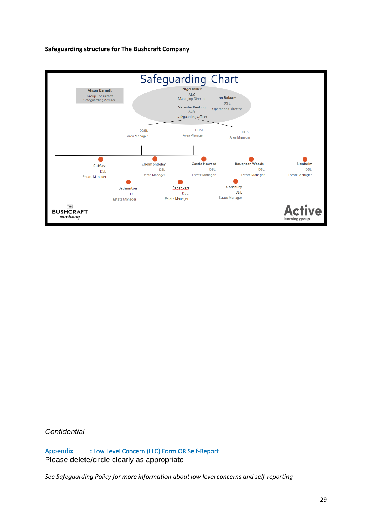#### **Safeguarding structure for The Bushcraft Company**



*Confidential*

Appendix : Low Level Concern (LLC) Form OR Self-Report Please delete/circle clearly as appropriate

*See Safeguarding Policy for more information about low level concerns and self-reporting*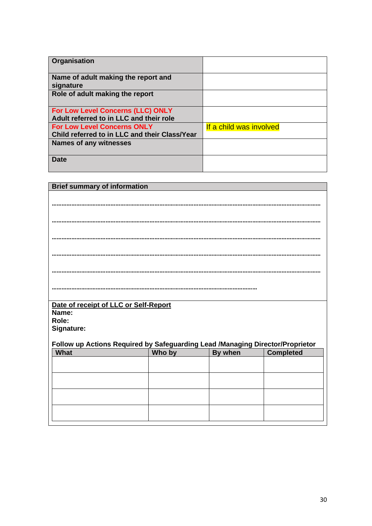| Organisation                                     |                         |
|--------------------------------------------------|-------------------------|
| Name of adult making the report and<br>signature |                         |
| Role of adult making the report                  |                         |
| For Low Level Concerns (LLC) ONLY                |                         |
| Adult referred to in LLC and their role          |                         |
| <b>For Low Level Concerns ONLY</b>               | If a child was involved |
| Child referred to in LLC and their Class/Year    |                         |
| <b>Names of any witnesses</b>                    |                         |
| Date                                             |                         |

| <b>Brief summary of information</b>                                           |        |         |                  |  |
|-------------------------------------------------------------------------------|--------|---------|------------------|--|
|                                                                               |        |         |                  |  |
|                                                                               |        |         |                  |  |
|                                                                               |        |         |                  |  |
|                                                                               |        |         |                  |  |
|                                                                               |        |         |                  |  |
|                                                                               |        |         |                  |  |
|                                                                               |        |         |                  |  |
| Date of receipt of LLC or Self-Report                                         |        |         |                  |  |
| Name:                                                                         |        |         |                  |  |
| Role:                                                                         |        |         |                  |  |
|                                                                               |        |         |                  |  |
| Signature:                                                                    |        |         |                  |  |
| Follow up Actions Required by Safeguarding Lead /Managing Director/Proprietor |        |         |                  |  |
| What                                                                          | Who by | By when | <b>Completed</b> |  |
|                                                                               |        |         |                  |  |
|                                                                               |        |         |                  |  |
|                                                                               |        |         |                  |  |
|                                                                               |        |         |                  |  |
|                                                                               |        |         |                  |  |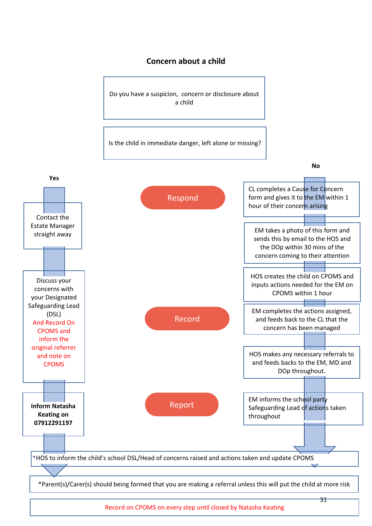### **Concern about a child**

Do you have a suspicion, concern or disclosure about a child

Is the child in immediate danger, left alone or missing?



Record on CPOMS on every step until closed by Natasha Keating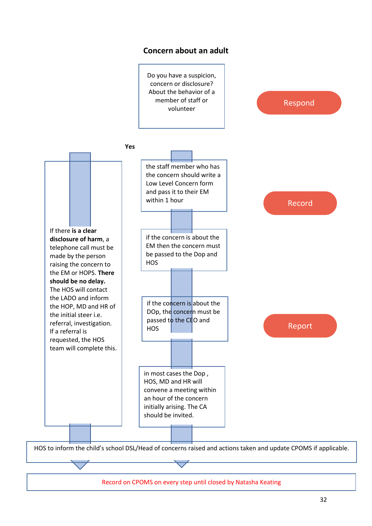

Record on CPOMS on every step until closed by Natasha Keating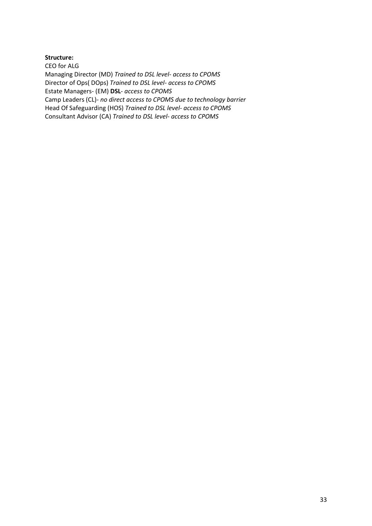#### **Structure:**

CEO for ALG Managing Director (MD) *Trained to DSL level- access to CPOMS* Director of Ops( DOps) *Trained to DSL level- access to CPOMS* Estate Managers- (EM) **DSL***- access to CPOMS* Camp Leaders (CL)- *no direct access to CPOMS due to technology barrier* Head Of Safeguarding (HOS) *Trained to DSL level- access to CPOMS* Consultant Advisor (CA) *Trained to DSL level- access to CPOMS*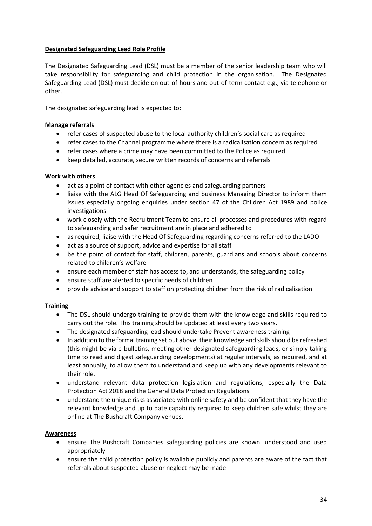### **Designated Safeguarding Lead Role Profile**

The Designated Safeguarding Lead (DSL) must be a member of the senior leadership team who will take responsibility for safeguarding and child protection in the organisation. The Designated Safeguarding Lead (DSL) must decide on out-of-hours and out-of-term contact e.g., via telephone or other.

The designated safeguarding lead is expected to:

### **Manage referrals**

- refer cases of suspected abuse to the local authority children's social care as required
- refer cases to the Channel programme where there is a radicalisation concern as required
- refer cases where a crime may have been committed to the Police as required
- keep detailed, accurate, secure written records of concerns and referrals

### **Work with others**

- act as a point of contact with other agencies and safeguarding partners
- liaise with the ALG Head Of Safeguarding and business Managing Director to inform them issues especially ongoing enquiries under section 47 of the Children Act 1989 and police investigations
- work closely with the Recruitment Team to ensure all processes and procedures with regard to safeguarding and safer recruitment are in place and adhered to
- as required, liaise with the Head Of Safeguarding regarding concerns referred to the LADO
- act as a source of support, advice and expertise for all staff
- be the point of contact for staff, children, parents, guardians and schools about concerns related to children's welfare
- ensure each member of staff has access to, and understands, the safeguarding policy
- ensure staff are alerted to specific needs of children
- provide advice and support to staff on protecting children from the risk of radicalisation

### **Training**

- The DSL should undergo training to provide them with the knowledge and skills required to carry out the role. This training should be updated at least every two years.
- The designated safeguarding lead should undertake Prevent awareness training
- In addition to the formal training set out above, their knowledge and skills should be refreshed (this might be via e-bulletins, meeting other designated safeguarding leads, or simply taking time to read and digest safeguarding developments) at regular intervals, as required, and at least annually, to allow them to understand and keep up with any developments relevant to their role.
- understand relevant data protection legislation and regulations, especially the Data Protection Act 2018 and the General Data Protection Regulations
- understand the unique risks associated with online safety and be confident that they have the relevant knowledge and up to date capability required to keep children safe whilst they are online at The Bushcraft Company venues.

### **Awareness**

- ensure The Bushcraft Companies safeguarding policies are known, understood and used appropriately
- ensure the child protection policy is available publicly and parents are aware of the fact that referrals about suspected abuse or neglect may be made